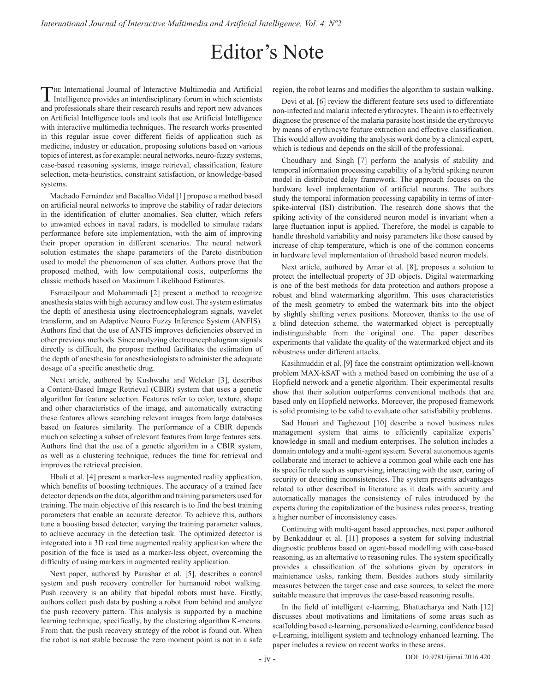## Editor's Note

The International Journal of Interactive Multimedia and Artificial Intelligence provides an interdisciplinary forum in which scientists and professionals share their research results and report new advances on Artificial Intelligence tools and tools that use Artificial Intelligence with interactive multimedia techniques. The research works presented in this regular issue cover different fields of application such as medicine, industry or education, proposing solutions based on various topics of interest, as for example: neural networks, neuro-fuzzy systems, case-based reasoning systems, image retrieval, classification, feature selection, meta-heuristics, constraint satisfaction, or knowledge-based systems.

Machado Fernández and Bacallao Vidal [1] propose a method based on artificial neural networks to improve the stability of radar detectors in the identification of clutter anomalies. Sea clutter, which refers to unwanted echoes in naval radars, is modelled to simulate radars performance before site implementation, with the aim of improving their proper operation in different scenarios. The neural network solution estimates the shape parameters of the Pareto distribution used to model the phenomenon of sea clutter. Authors prove that the proposed method, with low computational costs, outperforms the classic methods based on Maximum Likelihood Estimates.

Esmaeilpour and Mohammadi [2] present a method to recognize anesthesia states with high accuracy and low cost. The system estimates the depth of anesthesia using electroencephalogram signals, wavelet transform, and an Adaptive Neuro Fuzzy Inference System (ANFIS). Authors find that the use of ANFIS improves deficiencies observed in other previous methods. Since analyzing electroencephalogram signals directly is difficult, the propose method facilitates the estimation of the depth of anesthesia for anesthesiologists to administer the adequate dosage of a specific anesthetic drug.

Next article, authored by Kushwaha and Welekar [3], describes a Content-Based Image Retrieval (CBIR) system that uses a genetic algorithm for feature selection. Features refer to color, texture, shape and other characteristics of the image, and automatically extracting these features allows searching relevant images from large databases based on features similarity. The performance of a CBIR depends much on selecting a subset of relevant features from large features sets. Authors find that the use of a genetic algorithm in a CBIR system, as well as a clustering technique, reduces the time for retrieval and improves the retrieval precision.

Hbali et al. [4] present a marker-less augmented reality application, which benefits of boosting techniques. The accuracy of a trained face detector depends on the data, algorithm and training parameters used for training. The main objective of this research is to find the best training parameters that enable an accurate detector. To achieve this, authors tune a boosting based detector, varying the training parameter values, to achieve accuracy in the detection task. The optimized detector is integrated into a 3D real time augmented reality application where the position of the face is used as a marker-less object, overcoming the difficulty of using markers in augmented reality application.

Next paper, authored by Parashar et al. [5], describes a control system and push recovery controller for humanoid robot walking. Push recovery is an ability that bipedal robots must have. Firstly, authors collect push data by pushing a robot from behind and analyze the push recovery pattern. This analysis is supported by a machine learning technique, specifically, by the clustering algorithm K-means. From that, the push recovery strategy of the robot is found out. When the robot is not stable because the zero moment point is not in a safe

region, the robot learns and modifies the algorithm to sustain walking.

Devi et al. [6] review the different feature sets used to differentiate non-infected and malaria infected erythrocytes. The aim is to effectively diagnose the presence of the malaria parasite host inside the erythrocyte by means of erythrocyte feature extraction and effective classification. This would allow avoiding the analysis work done by a clinical expert, which is tedious and depends on the skill of the professional.

Choudhary and Singh [7] perform the analysis of stability and temporal information processing capability of a hybrid spiking neuron model in distributed delay framework. The approach focuses on the hardware level implementation of artificial neurons. The authors study the temporal information processing capability in terms of interspike-interval (ISI) distribution. The research done shows that the spiking activity of the considered neuron model is invariant when a large fluctuation input is applied. Therefore, the model is capable to handle threshold variability and noisy parameters like those caused by increase of chip temperature, which is one of the common concerns in hardware level implementation of threshold based neuron models.

Next article, authored by Amar et al. [8], proposes a solution to protect the intellectual property of 3D objects. Digital watermarking is one of the best methods for data protection and authors propose a robust and blind watermarking algorithm. This uses characteristics of the mesh geometry to embed the watermark bits into the object by slightly shifting vertex positions. Moreover, thanks to the use of a blind detection scheme, the watermarked object is perceptually indistinguishable from the original one. The paper describes experiments that validate the quality of the watermarked object and its robustness under different attacks.

Kasihmuddin et al. [9] face the constraint optimization well-known problem MAX-kSAT with a method based on combining the use of a Hopfield network and a genetic algorithm. Their experimental results show that their solution outperforms conventional methods that are based only on Hopfield networks. Moreover, the proposed framework is solid promising to be valid to evaluate other satisfiability problems.

Sad Houari and Taghezout [10] describe a novel business rules management system that aims to efficiently capitalize experts' knowledge in small and medium enterprises. The solution includes a domain ontology and a multi-agent system. Several autonomous agents collaborate and interact to achieve a common goal while each one has its specific role such as supervising, interacting with the user, caring of security or detecting inconsistencies. The system presents advantages related to other described in literature as it deals with security and automatically manages the consistency of rules introduced by the experts during the capitalization of the business rules process, treating a higher number of inconsistency cases.

Continuing with multi-agent based approaches, next paper authored by Benkaddour et al. [11] proposes a system for solving industrial diagnostic problems based on agent-based modelling with case-based reasoning, as an alternative to reasoning rules. The system specifically provides a classification of the solutions given by operators in maintenance tasks, ranking them. Besides authors study similarity measures between the target case and case sources, to select the more suitable measure that improves the case-based reasoning results.

In the field of intelligent e-learning, Bhattacharya and Nath [12] discusses about motivations and limitations of some areas such as scaffolding based e-learning, personalized e-learning, confidence based e-Learning, intelligent system and technology enhanced learning. The paper includes a review on recent works in these areas.